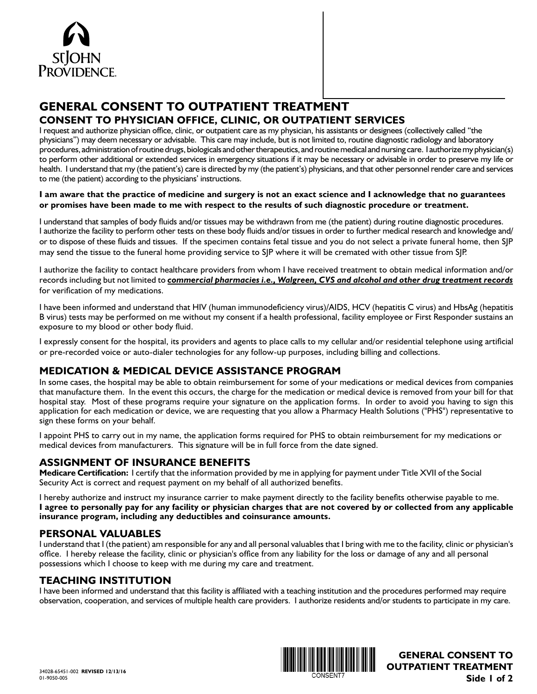

# **GENERAL CONSENT TO OUTPATIENT TREATMENT CONSENT TO PHYSICIAN OFFICE, CLINIC, OR OUTPATIENT SERVICES**

I request and authorize physician office, clinic, or outpatient care as my physician, his assistants or designees (collectively called "the physicians") may deem necessary or advisable. This care may include, but is not limited to, routine diagnostic radiology and laboratory procedures, administration of routine drugs, biologicals and other therapeutics, and routine medical and nursing care. I authorize my physician(s) to perform other additional or extended services in emergency situations if it may be necessary or advisable in order to preserve my life or health. I understand that my (the patient's) care is directed by my (the patient's) physicians, and that other personnel render care and services to me (the patient) according to the physicians' instructions.

#### **I am aware that the practice of medicine and surgery is not an exact science and I acknowledge that no guarantees or promises have been made to me with respect to the results of such diagnostic procedure or treatment.**

I understand that samples of body fluids and/or tissues may be withdrawn from me (the patient) during routine diagnostic procedures. I authorize the facility to perform other tests on these body fluids and/or tissues in order to further medical research and knowledge and/ or to dispose of these fluids and tissues. If the specimen contains fetal tissue and you do not select a private funeral home, then SJP may send the tissue to the funeral home providing service to SJP where it will be cremated with other tissue from SJP.

I authorize the facility to contact healthcare providers from whom I have received treatment to obtain medical information and/or records including but not limited to *commercial pharmacies i.e., Walgreen, CVS and alcohol and other drug treatment records* for verification of my medications.

I have been informed and understand that HIV (human immunodeficiency virus)/AIDS, HCV (hepatitis C virus) and HbsAg (hepatitis B virus) tests may be performed on me without my consent if a health professional, facility employee or First Responder sustains an exposure to my blood or other body fluid.

I expressly consent for the hospital, its providers and agents to place calls to my cellular and/or residential telephone using artificial or pre-recorded voice or auto-dialer technologies for any follow-up purposes, including billing and collections.

## **MEDICATION & MEDICAL DEVICE ASSISTANCE PROGRAM**

In some cases, the hospital may be able to obtain reimbursement for some of your medications or medical devices from companies that manufacture them. In the event this occurs, the charge for the medication or medical device is removed from your bill for that hospital stay. Most of these programs require your signature on the application forms. In order to avoid you having to sign this application for each medication or device, we are requesting that you allow a Pharmacy Health Solutions ("PHS") representative to sign these forms on your behalf.

I appoint PHS to carry out in my name, the application forms required for PHS to obtain reimbursement for my medications or medical devices from manufacturers. This signature will be in full force from the date signed.

### **ASSIGNMENT OF INSURANCE BENEFITS**

**Medicare Certification:** I certify that the information provided by me in applying for payment under Title XVII of the Social Security Act is correct and request payment on my behalf of all authorized benefits.

I hereby authorize and instruct my insurance carrier to make payment directly to the facility benefits otherwise payable to me. **I agree to personally pay for any facility or physician charges that are not covered by or collected from any applicable insurance program, including any deductibles and coinsurance amounts.**

#### **PERSONAL VALUABLES**

I understand that I (the patient) am responsible for any and all personal valuables that I bring with me to the facility, clinic or physician's office. I hereby release the facility, clinic or physician's office from any liability for the loss or damage of any and all personal possessions which I choose to keep with me during my care and treatment.

### **TEACHING INSTITUTION**

I have been informed and understand that this facility is affiliated with a teaching institution and the procedures performed may require observation, cooperation, and services of multiple health care providers. I authorize residents and/or students to participate in my care.